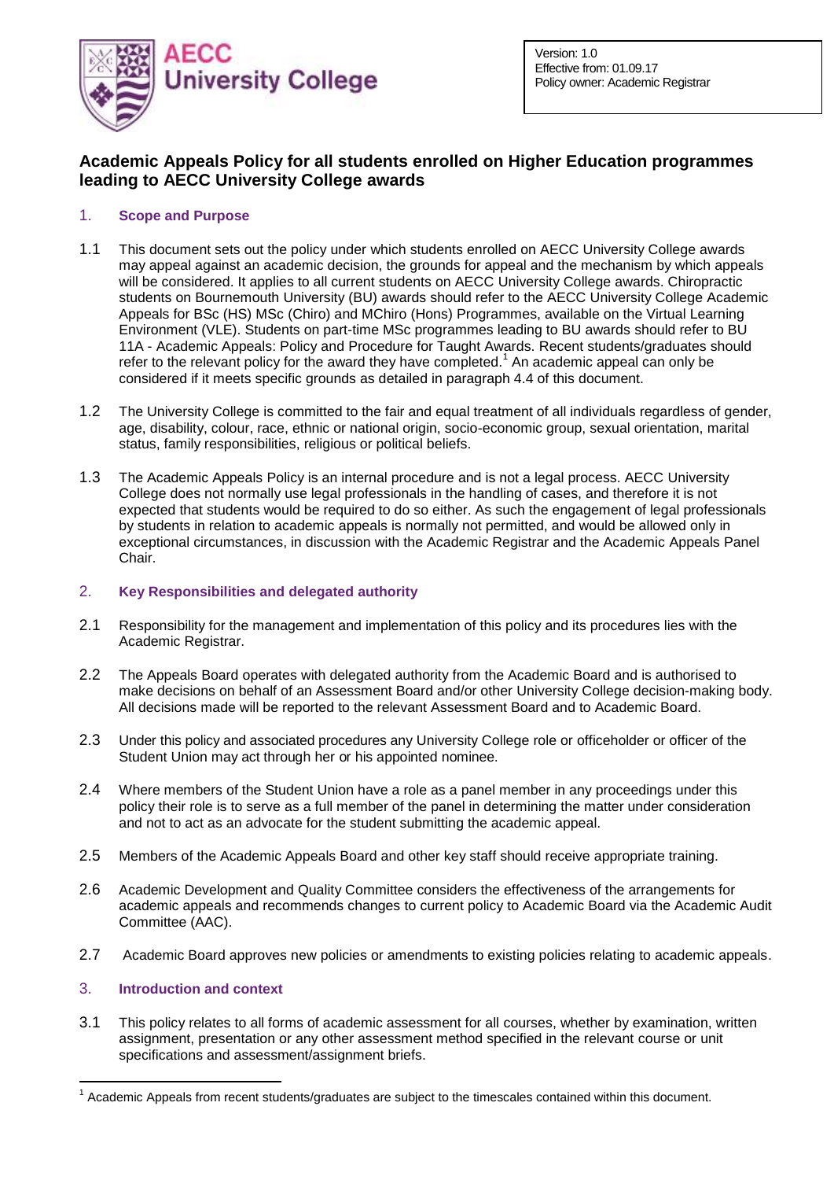

# **Academic Appeals Policy for all students enrolled on Higher Education programmes leading to AECC University College awards**

# 1. **Scope and Purpose**

- 1.1 This document sets out the policy under which students enrolled on AECC University College awards may appeal against an academic decision, the grounds for appeal and the mechanism by which appeals will be considered. It applies to all current students on AECC University College awards. Chiropractic students on Bournemouth University (BU) awards should refer to the AECC University College Academic Appeals for BSc (HS) MSc (Chiro) and MChiro (Hons) Programmes, available on the Virtual Learning Environment (VLE). Students on part-time MSc programmes leading to BU awards should refer to BU 11A - Academic Appeals: Policy and Procedure for Taught Awards. Recent students/graduates should refer to the relevant policy for the award they have completed.<sup>1</sup> An academic appeal can only be considered if it meets specific grounds as detailed in paragraph 4.4 of this document.
- 1.2 The University College is committed to the fair and equal treatment of all individuals regardless of gender, age, disability, colour, race, ethnic or national origin, socio-economic group, sexual orientation, marital status, family responsibilities, religious or political beliefs.
- 1.3 The Academic Appeals Policy is an internal procedure and is not a legal process. AECC University College does not normally use legal professionals in the handling of cases, and therefore it is not expected that students would be required to do so either. As such the engagement of legal professionals by students in relation to academic appeals is normally not permitted, and would be allowed only in exceptional circumstances, in discussion with the Academic Registrar and the Academic Appeals Panel Chair.

# 2. **Key Responsibilities and delegated authority**

- 2.1 Responsibility for the management and implementation of this policy and its procedures lies with the Academic Registrar.
- 2.2 The Appeals Board operates with delegated authority from the Academic Board and is authorised to make decisions on behalf of an Assessment Board and/or other University College decision-making body. All decisions made will be reported to the relevant Assessment Board and to Academic Board.
- 2.3 Under this policy and associated procedures any University College role or officeholder or officer of the Student Union may act through her or his appointed nominee.
- 2.4 Where members of the Student Union have a role as a panel member in any proceedings under this policy their role is to serve as a full member of the panel in determining the matter under consideration and not to act as an advocate for the student submitting the academic appeal.
- 2.5 Members of the Academic Appeals Board and other key staff should receive appropriate training.
- 2.6 Academic Development and Quality Committee considers the effectiveness of the arrangements for academic appeals and recommends changes to current policy to Academic Board via the Academic Audit Committee (AAC).
- 2.7 Academic Board approves new policies or amendments to existing policies relating to academic appeals.

# 3. **Introduction and context**

1

3.1 This policy relates to all forms of academic assessment for all courses, whether by examination, written assignment, presentation or any other assessment method specified in the relevant course or unit specifications and assessment/assignment briefs.

 $1$  Academic Appeals from recent students/graduates are subject to the timescales contained within this document.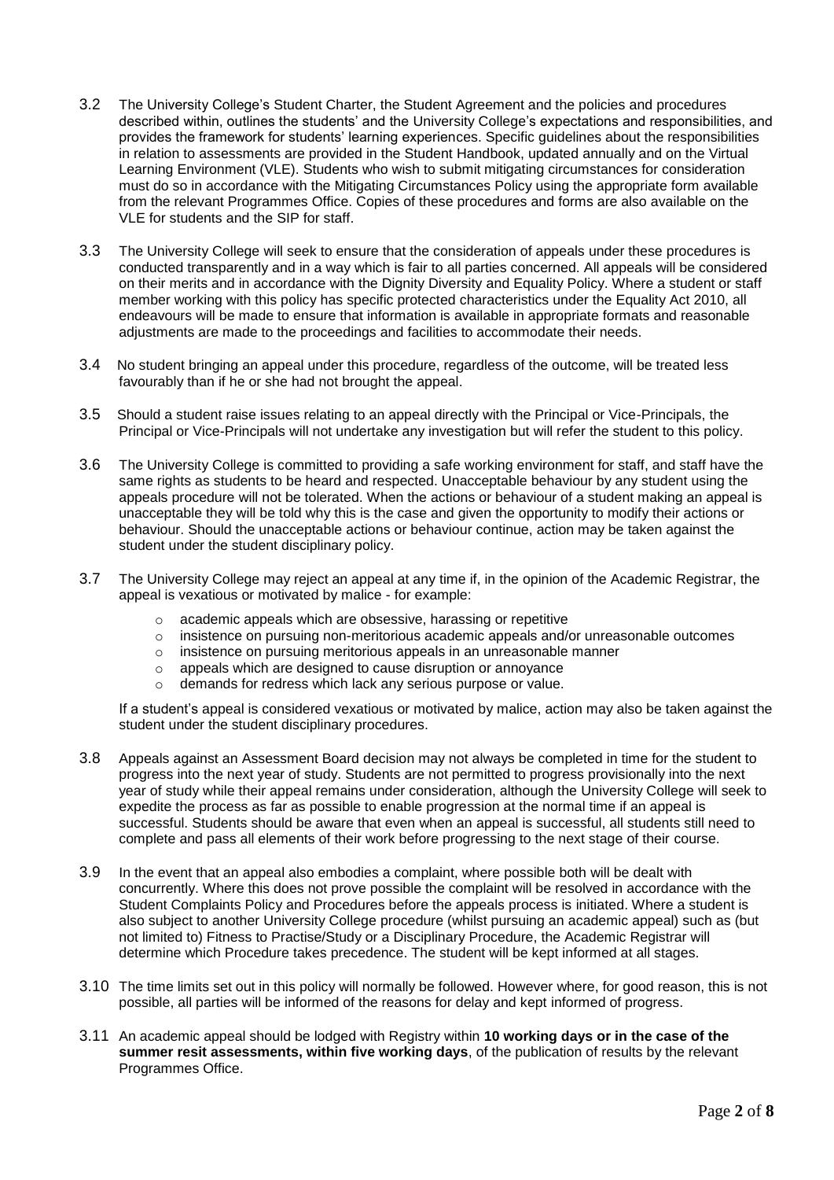- 3.2 The University College's Student Charter, the Student Agreement and the policies and procedures described within, outlines the students' and the University College's expectations and responsibilities, and provides the framework for students' learning experiences. Specific guidelines about the responsibilities in relation to assessments are provided in the Student Handbook, updated annually and on the Virtual Learning Environment (VLE). Students who wish to submit mitigating circumstances for consideration must do so in accordance with the Mitigating Circumstances Policy using the appropriate form available from the relevant Programmes Office. Copies of these procedures and forms are also available on the VLE for students and the SIP for staff.
- 3.3 The University College will seek to ensure that the consideration of appeals under these procedures is conducted transparently and in a way which is fair to all parties concerned. All appeals will be considered on their merits and in accordance with the Dignity Diversity and Equality Policy. Where a student or staff member working with this policy has specific protected characteristics under the Equality Act 2010, all endeavours will be made to ensure that information is available in appropriate formats and reasonable adjustments are made to the proceedings and facilities to accommodate their needs.
- 3.4 No student bringing an appeal under this procedure, regardless of the outcome, will be treated less favourably than if he or she had not brought the appeal.
- 3.5 Should a student raise issues relating to an appeal directly with the Principal or Vice-Principals, the Principal or Vice-Principals will not undertake any investigation but will refer the student to this policy.
- 3.6 The University College is committed to providing a safe working environment for staff, and staff have the same rights as students to be heard and respected. Unacceptable behaviour by any student using the appeals procedure will not be tolerated. When the actions or behaviour of a student making an appeal is unacceptable they will be told why this is the case and given the opportunity to modify their actions or behaviour. Should the unacceptable actions or behaviour continue, action may be taken against the student under the student disciplinary policy.
- 3.7 The University College may reject an appeal at any time if, in the opinion of the Academic Registrar, the appeal is vexatious or motivated by malice - for example:
	- o academic appeals which are obsessive, harassing or repetitive
	- $\circ$  insistence on pursuing non-meritorious academic appeals and/or unreasonable outcomes
	- o insistence on pursuing meritorious appeals in an unreasonable manner
	- o appeals which are designed to cause disruption or annoyance
	- o demands for redress which lack any serious purpose or value.

If a student's appeal is considered vexatious or motivated by malice, action may also be taken against the student under the student disciplinary procedures.

- 3.8 Appeals against an Assessment Board decision may not always be completed in time for the student to progress into the next year of study. Students are not permitted to progress provisionally into the next year of study while their appeal remains under consideration, although the University College will seek to expedite the process as far as possible to enable progression at the normal time if an appeal is successful. Students should be aware that even when an appeal is successful, all students still need to complete and pass all elements of their work before progressing to the next stage of their course.
- 3.9 In the event that an appeal also embodies a complaint, where possible both will be dealt with concurrently. Where this does not prove possible the complaint will be resolved in accordance with the Student Complaints Policy and Procedures before the appeals process is initiated. Where a student is also subject to another University College procedure (whilst pursuing an academic appeal) such as (but not limited to) Fitness to Practise/Study or a Disciplinary Procedure, the Academic Registrar will determine which Procedure takes precedence. The student will be kept informed at all stages.
- 3.10 The time limits set out in this policy will normally be followed. However where, for good reason, this is not possible, all parties will be informed of the reasons for delay and kept informed of progress.
- 3.11 An academic appeal should be lodged with Registry within **10 working days or in the case of the summer resit assessments, within five working days**, of the publication of results by the relevant Programmes Office.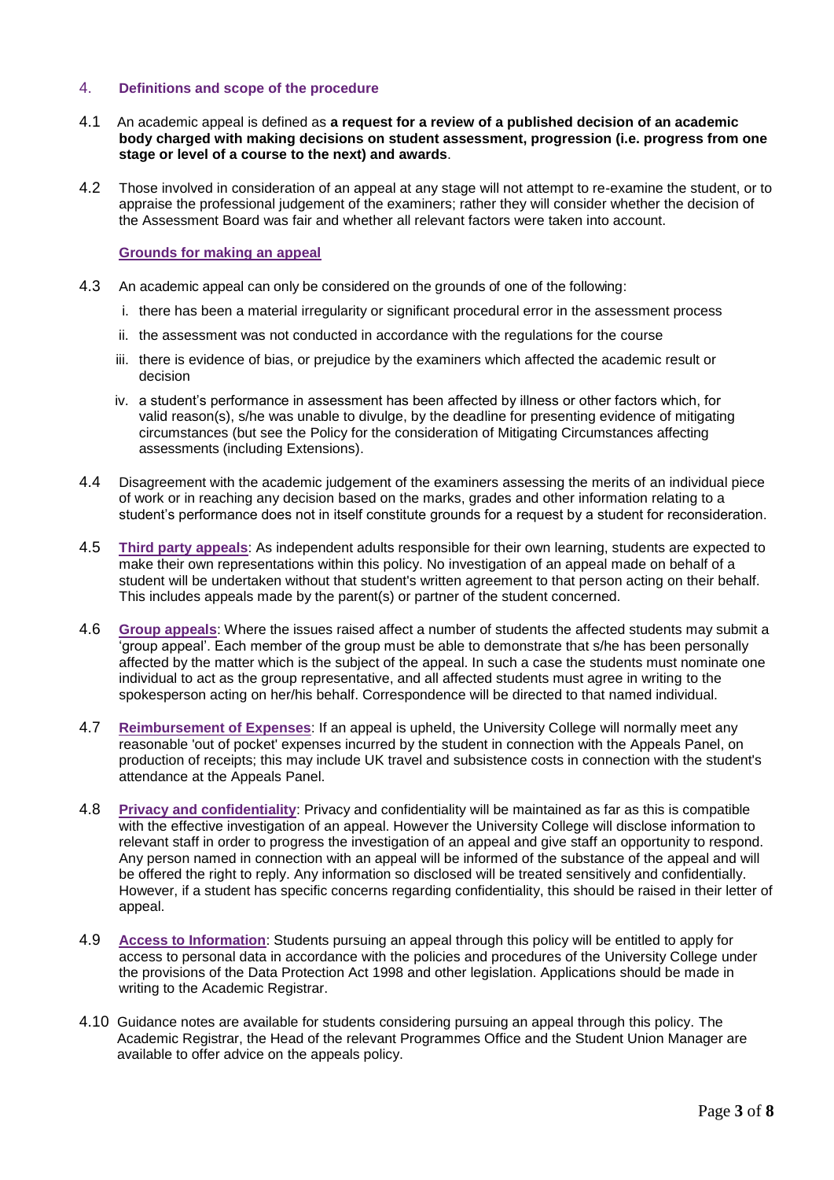### 4. **Definitions and scope of the procedure**

- 4.1 An academic appeal is defined as **a request for a review of a published decision of an academic body charged with making decisions on student assessment, progression (i.e. progress from one stage or level of a course to the next) and awards**.
- 4.2 Those involved in consideration of an appeal at any stage will not attempt to re-examine the student, or to appraise the professional judgement of the examiners; rather they will consider whether the decision of the Assessment Board was fair and whether all relevant factors were taken into account.

### **Grounds for making an appeal**

- 4.3 An academic appeal can only be considered on the grounds of one of the following:
	- i. there has been a material irregularity or significant procedural error in the assessment process
	- ii. the assessment was not conducted in accordance with the regulations for the course
	- iii. there is evidence of bias, or prejudice by the examiners which affected the academic result or decision
	- iv. a student's performance in assessment has been affected by illness or other factors which, for valid reason(s), s/he was unable to divulge, by the deadline for presenting evidence of mitigating circumstances (but see the Policy for the consideration of Mitigating Circumstances affecting assessments (including Extensions).
- 4.4 Disagreement with the academic judgement of the examiners assessing the merits of an individual piece of work or in reaching any decision based on the marks, grades and other information relating to a student's performance does not in itself constitute grounds for a request by a student for reconsideration.
- 4.5 **Third party appeals**: As independent adults responsible for their own learning, students are expected to make their own representations within this policy. No investigation of an appeal made on behalf of a student will be undertaken without that student's written agreement to that person acting on their behalf. This includes appeals made by the parent(s) or partner of the student concerned.
- 4.6 **Group appeals**: Where the issues raised affect a number of students the affected students may submit a 'group appeal'. Each member of the group must be able to demonstrate that s/he has been personally affected by the matter which is the subject of the appeal. In such a case the students must nominate one individual to act as the group representative, and all affected students must agree in writing to the spokesperson acting on her/his behalf. Correspondence will be directed to that named individual.
- 4.7 **Reimbursement of Expenses**: If an appeal is upheld, the University College will normally meet any reasonable 'out of pocket' expenses incurred by the student in connection with the Appeals Panel, on production of receipts; this may include UK travel and subsistence costs in connection with the student's attendance at the Appeals Panel.
- 4.8 **Privacy and confidentiality**: Privacy and confidentiality will be maintained as far as this is compatible with the effective investigation of an appeal. However the University College will disclose information to relevant staff in order to progress the investigation of an appeal and give staff an opportunity to respond. Any person named in connection with an appeal will be informed of the substance of the appeal and will be offered the right to reply. Any information so disclosed will be treated sensitively and confidentially. However, if a student has specific concerns regarding confidentiality, this should be raised in their letter of appeal.
- 4.9 **Access to Information**: Students pursuing an appeal through this policy will be entitled to apply for access to personal data in accordance with the policies and procedures of the University College under the provisions of the Data Protection Act 1998 and other legislation. Applications should be made in writing to the Academic Registrar.
- 4.10 Guidance notes are available for students considering pursuing an appeal through this policy. The Academic Registrar, the Head of the relevant Programmes Office and the Student Union Manager are available to offer advice on the appeals policy.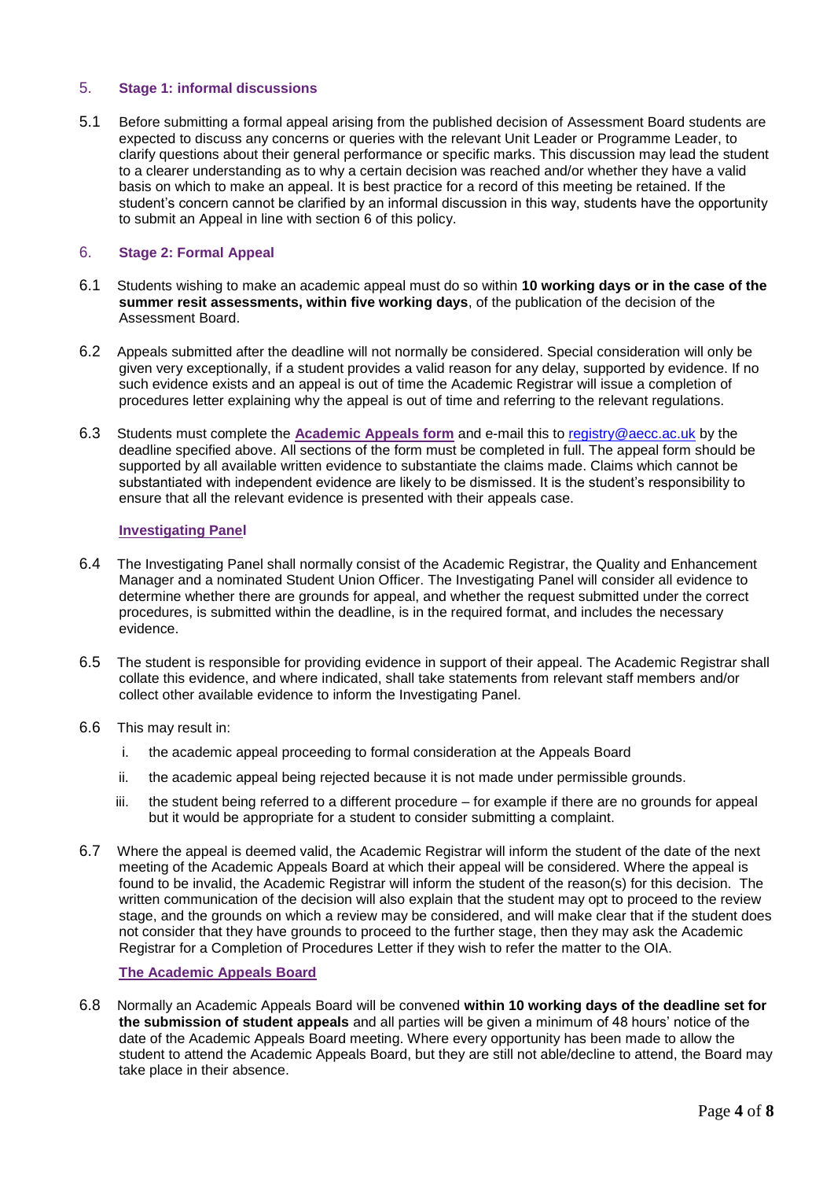### 5. **Stage 1: informal discussions**

5.1 Before submitting a formal appeal arising from the published decision of Assessment Board students are expected to discuss any concerns or queries with the relevant Unit Leader or Programme Leader, to clarify questions about their general performance or specific marks. This discussion may lead the student to a clearer understanding as to why a certain decision was reached and/or whether they have a valid basis on which to make an appeal. It is best practice for a record of this meeting be retained. If the student's concern cannot be clarified by an informal discussion in this way, students have the opportunity to submit an Appeal in line with section 6 of this policy.

### 6. **Stage 2: Formal Appeal**

- 6.1 Students wishing to make an academic appeal must do so within **10 working days or in the case of the summer resit assessments, within five working days**, of the publication of the decision of the Assessment Board.
- 6.2 Appeals submitted after the deadline will not normally be considered. Special consideration will only be given very exceptionally, if a student provides a valid reason for any delay, supported by evidence. If no such evidence exists and an appeal is out of time the Academic Registrar will issue a completion of procedures letter explaining why the appeal is out of time and referring to the relevant regulations.
- 6.3 Students must complete the **Academic Appeals form** and e-mail this to [registry@aecc.ac.uk](mailto:registry@aecc.ac.uk) by the deadline specified above. All sections of the form must be completed in full. The appeal form should be supported by all available written evidence to substantiate the claims made. Claims which cannot be substantiated with independent evidence are likely to be dismissed. It is the student's responsibility to ensure that all the relevant evidence is presented with their appeals case.

### **Investigating Panel**

- 6.4 The Investigating Panel shall normally consist of the Academic Registrar, the Quality and Enhancement Manager and a nominated Student Union Officer. The Investigating Panel will consider all evidence to determine whether there are grounds for appeal, and whether the request submitted under the correct procedures, is submitted within the deadline, is in the required format, and includes the necessary evidence.
- 6.5 The student is responsible for providing evidence in support of their appeal. The Academic Registrar shall collate this evidence, and where indicated, shall take statements from relevant staff members and/or collect other available evidence to inform the Investigating Panel.
- 6.6 This may result in:
	- i. the academic appeal proceeding to formal consideration at the Appeals Board
	- ii. the academic appeal being rejected because it is not made under permissible grounds.
	- iii. the student being referred to a different procedure for example if there are no grounds for appeal but it would be appropriate for a student to consider submitting a complaint.
- 6.7 Where the appeal is deemed valid, the Academic Registrar will inform the student of the date of the next meeting of the Academic Appeals Board at which their appeal will be considered. Where the appeal is found to be invalid, the Academic Registrar will inform the student of the reason(s) for this decision. The written communication of the decision will also explain that the student may opt to proceed to the review stage, and the grounds on which a review may be considered, and will make clear that if the student does not consider that they have grounds to proceed to the further stage, then they may ask the Academic Registrar for a Completion of Procedures Letter if they wish to refer the matter to the OIA.

### **The Academic Appeals Board**

6.8 Normally an Academic Appeals Board will be convened **within 10 working days of the deadline set for the submission of student appeals** and all parties will be given a minimum of 48 hours' notice of the date of the Academic Appeals Board meeting. Where every opportunity has been made to allow the student to attend the Academic Appeals Board, but they are still not able/decline to attend, the Board may take place in their absence.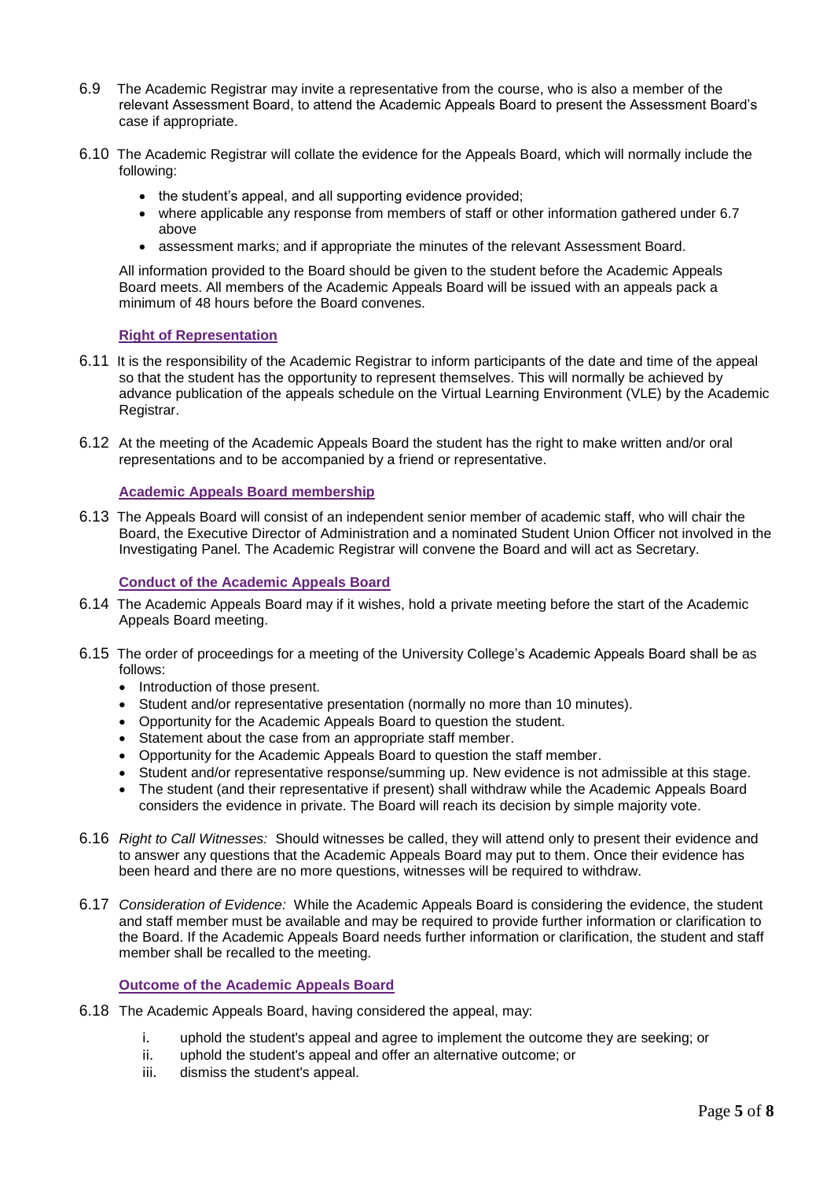- 6.9 The Academic Registrar may invite a representative from the course, who is also a member of the relevant Assessment Board, to attend the Academic Appeals Board to present the Assessment Board's case if appropriate.
- 6.10 The Academic Registrar will collate the evidence for the Appeals Board, which will normally include the following:
	- the student's appeal, and all supporting evidence provided;
	- where applicable any response from members of staff or other information gathered under 6.7 above
	- assessment marks; and if appropriate the minutes of the relevant Assessment Board.

All information provided to the Board should be given to the student before the Academic Appeals Board meets. All members of the Academic Appeals Board will be issued with an appeals pack a minimum of 48 hours before the Board convenes.

### **Right of Representation**

- 6.11 It is the responsibility of the Academic Registrar to inform participants of the date and time of the appeal so that the student has the opportunity to represent themselves. This will normally be achieved by advance publication of the appeals schedule on the Virtual Learning Environment (VLE) by the Academic Registrar.
- 6.12 At the meeting of the Academic Appeals Board the student has the right to make written and/or oral representations and to be accompanied by a friend or representative.

# **Academic Appeals Board membership**

6.13 The Appeals Board will consist of an independent senior member of academic staff, who will chair the Board, the Executive Director of Administration and a nominated Student Union Officer not involved in the Investigating Panel. The Academic Registrar will convene the Board and will act as Secretary.

### **Conduct of the Academic Appeals Board**

- 6.14 The Academic Appeals Board may if it wishes, hold a private meeting before the start of the Academic Appeals Board meeting.
- 6.15 The order of proceedings for a meeting of the University College's Academic Appeals Board shall be as follows:
	- Introduction of those present.
	- Student and/or representative presentation (normally no more than 10 minutes).
	- Opportunity for the Academic Appeals Board to question the student.
	- Statement about the case from an appropriate staff member.
	- Opportunity for the Academic Appeals Board to question the staff member.
	- Student and/or representative response/summing up. New evidence is not admissible at this stage.
	- The student (and their representative if present) shall withdraw while the Academic Appeals Board considers the evidence in private. The Board will reach its decision by simple majority vote.
- 6.16 *Right to Call Witnesses:* Should witnesses be called, they will attend only to present their evidence and to answer any questions that the Academic Appeals Board may put to them. Once their evidence has been heard and there are no more questions, witnesses will be required to withdraw.
- 6.17 *Consideration of Evidence:* While the Academic Appeals Board is considering the evidence, the student and staff member must be available and may be required to provide further information or clarification to the Board. If the Academic Appeals Board needs further information or clarification, the student and staff member shall be recalled to the meeting.

### **Outcome of the Academic Appeals Board**

- 6.18 The Academic Appeals Board, having considered the appeal, may:
	- i. uphold the student's appeal and agree to implement the outcome they are seeking; or
	- ii. uphold the student's appeal and offer an alternative outcome; or
	- iii. dismiss the student's appeal.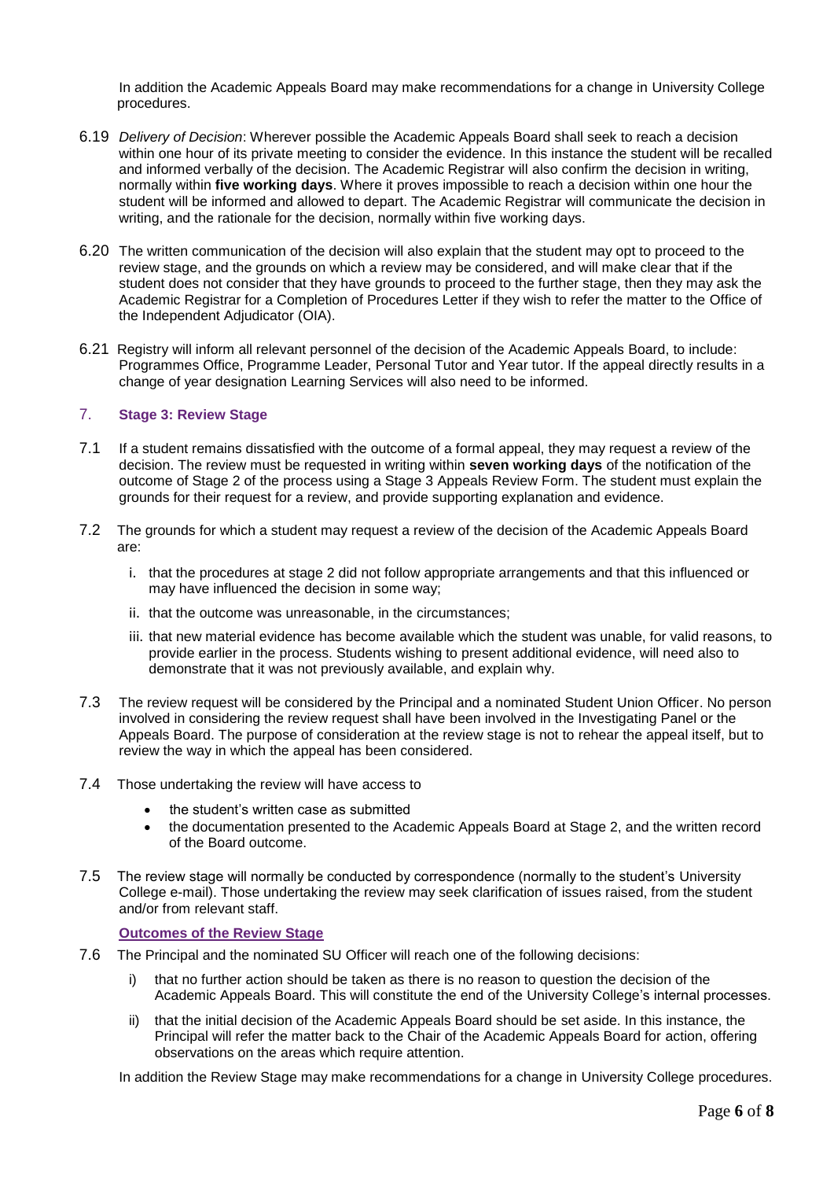In addition the Academic Appeals Board may make recommendations for a change in University College procedures.

- 6.19 *Delivery of Decision*: Wherever possible the Academic Appeals Board shall seek to reach a decision within one hour of its private meeting to consider the evidence. In this instance the student will be recalled and informed verbally of the decision. The Academic Registrar will also confirm the decision in writing, normally within **five working days**. Where it proves impossible to reach a decision within one hour the student will be informed and allowed to depart. The Academic Registrar will communicate the decision in writing, and the rationale for the decision, normally within five working days.
- 6.20 The written communication of the decision will also explain that the student may opt to proceed to the review stage, and the grounds on which a review may be considered, and will make clear that if the student does not consider that they have grounds to proceed to the further stage, then they may ask the Academic Registrar for a Completion of Procedures Letter if they wish to refer the matter to the Office of the Independent Adjudicator (OIA).
- 6.21 Registry will inform all relevant personnel of the decision of the Academic Appeals Board, to include: Programmes Office, Programme Leader, Personal Tutor and Year tutor. If the appeal directly results in a change of year designation Learning Services will also need to be informed.

# 7. **Stage 3: Review Stage**

- 7.1 If a student remains dissatisfied with the outcome of a formal appeal, they may request a review of the decision. The review must be requested in writing within **seven working days** of the notification of the outcome of Stage 2 of the process using a Stage 3 Appeals Review Form. The student must explain the grounds for their request for a review, and provide supporting explanation and evidence.
- 7.2 The grounds for which a student may request a review of the decision of the Academic Appeals Board are:
	- i. that the procedures at stage 2 did not follow appropriate arrangements and that this influenced or may have influenced the decision in some way;
	- ii. that the outcome was unreasonable, in the circumstances;
	- iii. that new material evidence has become available which the student was unable, for valid reasons, to provide earlier in the process. Students wishing to present additional evidence, will need also to demonstrate that it was not previously available, and explain why.
- 7.3 The review request will be considered by the Principal and a nominated Student Union Officer. No person involved in considering the review request shall have been involved in the Investigating Panel or the Appeals Board. The purpose of consideration at the review stage is not to rehear the appeal itself, but to review the way in which the appeal has been considered.
- 7.4 Those undertaking the review will have access to
	- the student's written case as submitted
		- the documentation presented to the Academic Appeals Board at Stage 2, and the written record of the Board outcome.
- 7.5 The review stage will normally be conducted by correspondence (normally to the student's University College e-mail). Those undertaking the review may seek clarification of issues raised, from the student and/or from relevant staff.

### **Outcomes of the Review Stage**

- 7.6 The Principal and the nominated SU Officer will reach one of the following decisions:
	- i) that no further action should be taken as there is no reason to question the decision of the Academic Appeals Board. This will constitute the end of the University College's internal processes.
	- ii) that the initial decision of the Academic Appeals Board should be set aside. In this instance, the Principal will refer the matter back to the Chair of the Academic Appeals Board for action, offering observations on the areas which require attention.

In addition the Review Stage may make recommendations for a change in University College procedures.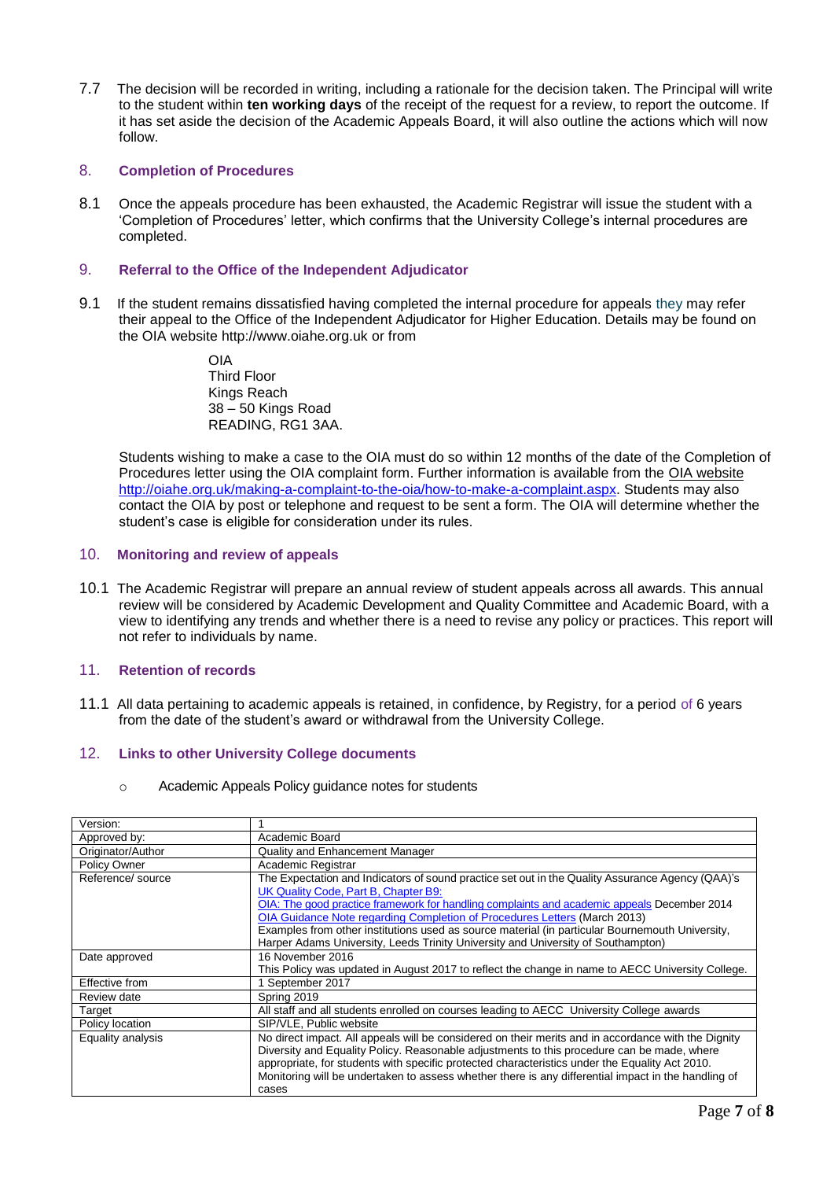7.7 The decision will be recorded in writing, including a rationale for the decision taken. The Principal will write to the student within **ten working days** of the receipt of the request for a review, to report the outcome. If it has set aside the decision of the Academic Appeals Board, it will also outline the actions which will now follow.

# 8. **Completion of Procedures**

8.1 Once the appeals procedure has been exhausted, the Academic Registrar will issue the student with a 'Completion of Procedures' letter, which confirms that the University College's internal procedures are completed.

### 9. **Referral to the Office of the Independent Adjudicator**

9.1 If the student remains dissatisfied having completed the internal procedure for appeals they may refer their appeal to the Office of the Independent Adjudicator for Higher Education. Details may be found on the OIA website [http://www.oiahe.org.uk o](http://www.oiahe.org.uk/)r from

> OIA Third Floor Kings Reach 38 – 50 Kings Road READING, RG1 3AA.

Students wishing to make a case to the OIA must do so within 12 months of the date of the Completion of Procedures letter using the OIA complaint form. Further information is available from the [OIA website](http://www.oiahe.org.uk/about-us/using-the-scheme.aspx) [http://oiahe.org.uk/making-a-complaint-to-the-oia/how-to-make-a-complaint.aspx.](http://oiahe.org.uk/making-a-complaint-to-the-oia/how-to-make-a-complaint.aspx) Students may also contact the OIA by post or telephone and request to be sent a form. The OIA will determine whether the student's case is eligible for consideration under its rules.

### 10. **Monitoring and review of appeals**

10.1 The Academic Registrar will prepare an annual review of student appeals across all awards. This annual review will be considered by Academic Development and Quality Committee and Academic Board, with a view to identifying any trends and whether there is a need to revise any policy or practices. This report will not refer to individuals by name.

# 11. **Retention of records**

11.1 All data pertaining to academic appeals is retained, in confidence, by Registry, for a period of 6 years from the date of the student's award or withdrawal from the University College.

# 12. **Links to other University College documents**

o Academic Appeals Policy guidance notes for students

| Academic Board                                                                                      |
|-----------------------------------------------------------------------------------------------------|
| <b>Quality and Enhancement Manager</b>                                                              |
| Academic Registrar                                                                                  |
| The Expectation and Indicators of sound practice set out in the Quality Assurance Agency (QAA)'s    |
| UK Quality Code, Part B, Chapter B9:                                                                |
| OIA: The good practice framework for handling complaints and academic appeals December 2014         |
| OIA Guidance Note regarding Completion of Procedures Letters (March 2013)                           |
| Examples from other institutions used as source material (in particular Bournemouth University,     |
| Harper Adams University, Leeds Trinity University and University of Southampton)                    |
| 16 November 2016                                                                                    |
| This Policy was updated in August 2017 to reflect the change in name to AECC University College.    |
| 1 September 2017                                                                                    |
| Spring 2019                                                                                         |
| All staff and all students enrolled on courses leading to AECC University College awards            |
| SIP/VLE, Public website                                                                             |
| No direct impact. All appeals will be considered on their merits and in accordance with the Dignity |
| Diversity and Equality Policy. Reasonable adjustments to this procedure can be made, where          |
| appropriate, for students with specific protected characteristics under the Equality Act 2010.      |
| Monitoring will be undertaken to assess whether there is any differential impact in the handling of |
| cases                                                                                               |
|                                                                                                     |